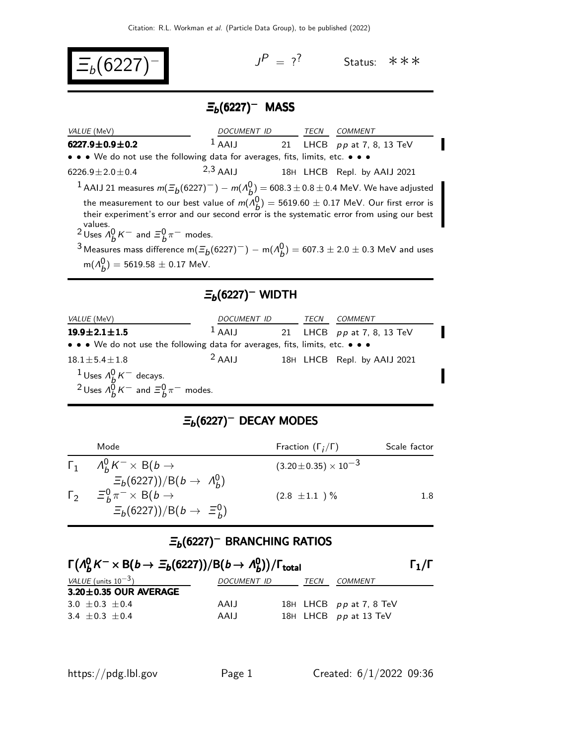$$
\boxed{\Xi_b(6227)^{-}}
$$

 $J^P = ?^?$  Status: \*\*\*

Π

## $\Xi_b(6227)^-$  MASS

| VALUE (MeV)                                                                   | DOCUMENT ID TECN |  | <i>COMMENT</i>                                                                                                                                                                          |
|-------------------------------------------------------------------------------|------------------|--|-----------------------------------------------------------------------------------------------------------------------------------------------------------------------------------------|
| 6227.9 $\pm$ 0.9 $\pm$ 0.2                                                    | $1$ AAIJ         |  | 21 LHCB pp at 7, 8, 13 TeV                                                                                                                                                              |
| • • • We do not use the following data for averages, fits, limits, etc. • • • |                  |  |                                                                                                                                                                                         |
| $6226.9 \pm 2.0 \pm 0.4$                                                      | $2,3$ AAIJ       |  | 18H LHCB Repl. by AAIJ 2021                                                                                                                                                             |
|                                                                               |                  |  | <sup>1</sup> AAIJ 21 measures $m(\Xi_b(6227)^-) - m(A_b^0) = 608.3 \pm 0.8 \pm 0.4$ MeV. We have adjusted                                                                               |
|                                                                               |                  |  | the measurement to our best value of $m(A_b^0) = 5619.60 \pm 0.17$ MeV. Our first error is<br>their experiment's error and our second error is the systematic error from using our best |
| values.<br><sup>2</sup> Uses $\Lambda_h^0 K^-$ and $\Xi_h^0 \pi^-$ modes.     |                  |  |                                                                                                                                                                                         |
|                                                                               |                  |  | $3M$ esques mass difference m( $\pi$ (6997)-) $\pi$ (A)) 607.3   3.0   0.3 Ma)(and uses                                                                                                 |

3 Measures mass difference m( $\Xi_b(6227)^-$ ) – m( $\Lambda_b^0$ ) = 607.3  $\pm$  2.0  $\pm$  0.3 MeV and uses  ${\sf m}(A_{\tiny\!\! D}^{\rm 0})=5619.58\pm0.17$  MeV.

### $\Xi_b(6227)^-$  WIDTH

| VALUE (MeV)                                                                                                           | <i>DOCUMENT ID</i> | TECN | <i>COMMENT</i>              |  |
|-----------------------------------------------------------------------------------------------------------------------|--------------------|------|-----------------------------|--|
| $19.9 \pm 2.1 \pm 1.5$                                                                                                | $1$ AAIJ           |      | 21 LHCB pp at 7, 8, 13 TeV  |  |
| $\bullet \bullet \bullet$ We do not use the following data for averages, fits, limits, etc. $\bullet \bullet \bullet$ |                    |      |                             |  |
| $18.1 \pm 5.4 \pm 1.8$                                                                                                | $2$ AAIJ           |      | 18H LHCB Repl. by AAIJ 2021 |  |
|                                                                                                                       |                    |      |                             |  |
| <sup>1</sup> Uses $A_B^0 K^-$ decays.<br><sup>2</sup> Uses $A_B^0 K^-$ and $\Xi_B^0 \pi^-$ modes.                     |                    |      |                             |  |

## $\Xi_b(6227)^-$  DECAY MODES

| Mode                                              | Fraction $(\Gamma_i/\Gamma)$     | Scale factor |
|---------------------------------------------------|----------------------------------|--------------|
| $\Gamma_1$ $A_b^0 K^- \times B(b \rightarrow$     | $(3.20 \pm 0.35) \times 10^{-3}$ |              |
| $\Xi_b(6227))/B(b \to \Lambda_b^0)$               |                                  |              |
| $\Gamma_2$ $\Xi_b^0 \pi^- \times B(b \rightarrow$ | $(2.8 \pm 1.1) \%$               | 1.8          |
| $\Xi_b(6227))/B(b \rightarrow \Xi_b^0)$           |                                  |              |

#### $\Xi_b$ (6227)<sup>–</sup> BRANCHING RATIOS

| $\Gamma(A_b^0 K^- \times B(b \to \Xi_b(6227))/B(b \to A_b^0)/\Gamma_{\text{total}}$ |             |  |      | $\Gamma_1/\Gamma$         |  |
|-------------------------------------------------------------------------------------|-------------|--|------|---------------------------|--|
| VALUE (units $10^{-3}$ )                                                            | DOCUMENT ID |  | TECN | COMMENT                   |  |
| $3.20 \pm 0.35$ OUR AVERAGE                                                         |             |  |      |                           |  |
| 3.0 $\pm$ 0.3 $\pm$ 0.4                                                             | AAIJ        |  |      | 18H LHCB $pp$ at 7, 8 TeV |  |
| $3.4 + 0.3 + 0.4$                                                                   | AAIJ        |  |      | 18H LHCB pp at 13 TeV     |  |